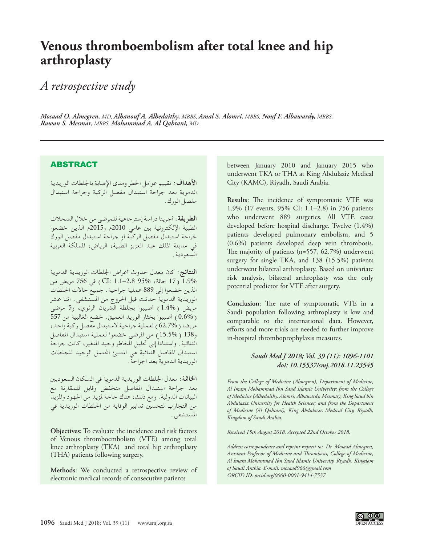## **Venous thromboembolism after total knee and hip arthroplasty**

*A retrospective study*

*Mosaad O. Almegren, MD, Alhanouf A. Alhedaithy, MBBS, Amal S. Alomri, MBBS, Nouf F. Albawardy, MBBS, Rawan S. Mesmar, MBBS, Mohammad A. Al Qahtani, MD.*

## ABSTRACT

**األهداف**: تقييم عوامل اخلطر ومدى اإلصابة باجللطات الوريدية الدموية بعد جراحة استبدال مفصل الركبة وجراحة استبدال مفصل الورك.

**الطريقة**: أجرينا دراسة إسترجاعية للمرضى من خالل السجالت الطبية اإللكترونية بني عامي 2010م و2015م الذين خضعوا جلراحة استبدال مفصل الركبة أو جراحة استبدال مفصل الورك في مدينة امللك عبد العزيز الطبية، الرياض، اململكة العربية السعودية.

**النتائج**: كان معدل حدوث أعراض اجللطات الوريدية الدموية 1.9% )17 حالة، 95% 2.8–1.1 :CI )في 756 مريض من الذين خضعوا إلى 889 عملية جراحية. جميع حاالت اجللطات الوريدية الدموية حدثت قبل اخلروج من املستشفى. اثنا عشر مريض )1.4%( أصيبوا بجلطة الشريان الرئوي، و5 مرضى )0.6%( أصيبوا بخثار الوريد العميق. خضع الغالبية من 557 مريضا ( 62.7% ) لعملية جراحية لاستبدال مفصل ركبة واحد، و138 ( 15.5% ) من المرضى خضعوا لعملية استبدال المفاصل الثنائية. واستناداً إلى حتليل املخاطر وحيد املتغير، كانت جراحة استبدال المفاصل الثنائية هي المتنبئ المحتمل الوحيد للجلطات الوريدية الدموية بعد اجلراحة.

**اخلامتة**: معدل اجللطات الوريدية الدموية في السكان السعوديني بعد جراحة استبدال املفاصل منخفض وقابل للمقارنة مع البيانات الدولية. ومع ذلك، هناك حاجة ملزيد من اجلهود واملزيد من التجارب لتحسني تدابير الوقاية من اجللطات الوريدية في املستشفى.

**Objectives:** To evaluate the incidence and risk factors of Venous thromboembolism (VTE) among total knee arthroplasty (TKA) and total hip arthroplasty (THA) patients following surgery.

**Methods**: We conducted a retrospective review of electronic medical records of consecutive patients

between January 2010 and January 2015 who underwent TKA or THA at King Abdulaziz Medical City (KAMC), Riyadh, Saudi Arabia.

**Results**: The incidence of symptomatic VTE was 1.9% (17 events, 95% CI: 1.1–2.8) in 756 patients who underwent 889 surgeries. All VTE cases developed before hospital discharge. Twelve (1.4%) patients developed pulmonary embolism, and 5 (0.6%) patients developed deep vein thrombosis. The majority of patients (n=557, 62.7%) underwent surgery for single TKA, and 138 (15.5%) patients underwent bilateral arthroplasty. Based on univariate risk analysis, bilateral arthroplasty was the only potential predictor for VTE after surgery.

**Conclusion**: The rate of symptomatic VTE in a Saudi population following arthroplasty is low and comparable to the international data. However, efforts and more trials are needed to further improve in-hospital thromboprophylaxis measures.

## *Saudi Med J 2018; Vol. 39 (11): 1096-1101 doi: 10.15537/smj.2018.11.23545*

*From the College of Medicine (Almegren), Department of Medicine, Al Imam Mohammad Ibn Saud Islamic University; from the College of Medicine (Alhedaithy, Alomri, Albawardy, Mesmar), King Saud bin Abdulaziz University for Health Sciences; and from the Department of Medicine (Al Qahtani), King Abdulaziz Medical City, Riyadh, Kingdom of Saudi Arabia.* 

*Received 15th August 2018. Accepted 22nd October 2018.*

*Address correspondence and reprint request to: Dr. Mosaad Almegren, Assistant Professor of Medicine and Thrombosis, College of Medicine, Al Imam Mohammad Ibn Saud Islamic University, Riyadh, Kingdom of Saudi Arabia. E-mail: mosaad966@gmail.com ORCID ID: orcid.org/0000-0001-9414-7537*

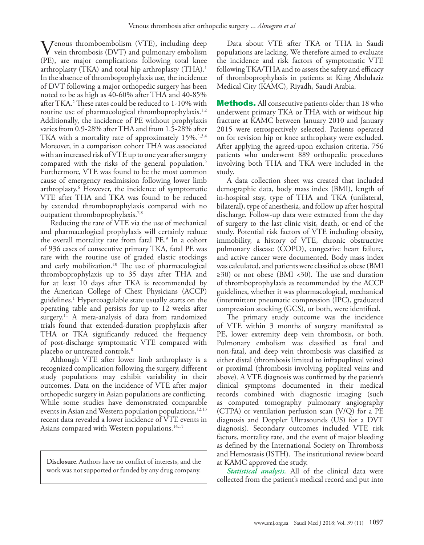Venous thromboembolism (VTE), including deep vein thrombosis (DVT) and pulmonary embolism (PE), are major complications following total knee arthroplasty (TKA) and total hip arthroplasty (THA).<sup>1</sup> In the absence of thromboprophylaxis use, the incidence of DVT following a major orthopedic surgery has been noted to be as high as 40-60% after THA and 40-85% after TKA.2 These rates could be reduced to 1-10% with routine use of pharmacological thromboprophylaxis.<sup>1,2</sup> Additionally, the incidence of PE without prophylaxis varies from 0.9-28% after THA and from 1.5-28% after TKA with a mortality rate of approximately 15%.<sup>1,3,4</sup> Moreover, in a comparison cohort THA was associated with an increased risk of VTE up to one year after surgery compared with the risks of the general population.<sup>5</sup> Furthermore, VTE was found to be the most common cause of emergency readmission following lower limb arthroplasty.6 However, the incidence of symptomatic VTE after THA and TKA was found to be reduced by extended thromboprophylaxis compared with no outpatient thromboprophylaxis.7,8

Reducing the rate of VTE via the use of mechanical and pharmacological prophylaxis will certainly reduce the overall mortality rate from fatal PE.9 In a cohort of 936 cases of consecutive primary TKA, fatal PE was rare with the routine use of graded elastic stockings and early mobilization.<sup>10</sup> The use of pharmacological thromboprophylaxis up to 35 days after THA and for at least 10 days after TKA is recommended by the American College of Chest Physicians (ACCP) guidelines.1 Hypercoagulable state usually starts on the operating table and persists for up to 12 weeks after surgery.<sup>11</sup> A meta-analysis of data from randomized trials found that extended-duration prophylaxis after THA or TKA significantly reduced the frequency of post-discharge symptomatic VTE compared with placebo or untreated controls.8

Although VTE after lower limb arthroplasty is a recognized complication following the surgery, different study populations may exhibit variability in their outcomes. Data on the incidence of VTE after major orthopedic surgery in Asian populations are conflicting. While some studies have demonstrated comparable events in Asian and Western population populations,<sup>12,13</sup> recent data revealed a lower incidence of VTE events in Asians compared with Western populations.<sup>14,15</sup>

**Disclosure**. Authors have no conflict of interests, and the work was not supported or funded by any drug company.

Data about VTE after TKA or THA in Saudi populations are lacking. We therefore aimed to evaluate the incidence and risk factors of symptomatic VTE following TKA/THA and to assess the safety and efficacy of thromboprophylaxis in patients at King Abdulaziz Medical City (KAMC), Riyadh, Saudi Arabia.

**Methods.** All consecutive patients older than 18 who underwent primary TKA or THA with or without hip fracture at KAMC between January 2010 and January 2015 were retrospectively selected. Patients operated on for revision hip or knee arthroplasty were excluded. After applying the agreed-upon exclusion criteria, 756 patients who underwent 889 orthopedic procedures involving both THA and TKA were included in the study.

A data collection sheet was created that included demographic data, body mass index (BMI), length of in-hospital stay, type of THA and TKA (unilateral, bilateral), type of anesthesia, and follow up after hospital discharge. Follow-up data were extracted from the day of surgery to the last clinic visit, death, or end of the study. Potential risk factors of VTE including obesity, immobility, a history of VTE, chronic obstructive pulmonary disease (COPD), congestive heart failure, and active cancer were documented. Body mass index was calculated, and patients were classified as obese (BMI  $\geq$ 30) or not obese (BMI <30). The use and duration of thromboprophylaxis as recommended by the ACCP guidelines, whether it was pharmacological, mechanical (intermittent pneumatic compression (IPC), graduated compression stocking (GCS), or both, were identified.

The primary study outcome was the incidence of VTE within 3 months of surgery manifested as PE, lower extremity deep vein thrombosis, or both. Pulmonary embolism was classified as fatal and non-fatal, and deep vein thrombosis was classified as either distal (thrombosis limited to infrapopliteal veins) or proximal (thrombosis involving popliteal veins and above). A VTE diagnosis was confirmed by the patient's clinical symptoms documented in their medical records combined with diagnostic imaging (such as computed tomography pulmonary angiography (CTPA) or ventilation perfusion scan (V/Q) for a PE diagnosis and Doppler Ultrasounds (US) for a DVT diagnosis). Secondary outcomes included VTE risk factors, mortality rate, and the event of major bleeding as defined by the International Society on Thrombosis and Hemostasis (ISTH). The institutional review board at KAMC approved the study.

*Statistical analysis.* All of the clinical data were collected from the patient's medical record and put into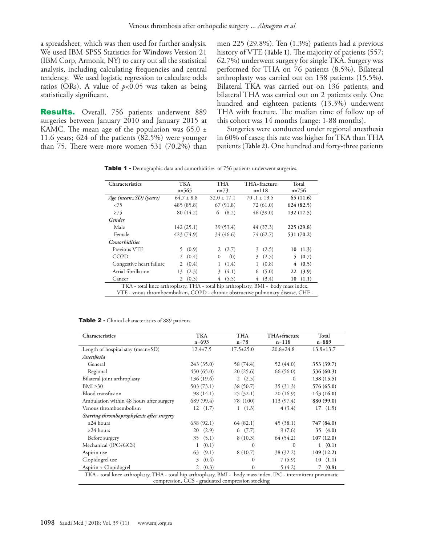a spreadsheet, which was then used for further analysis. We used IBM SPSS Statistics for Windows Version 21 (IBM Corp, Armonk, NY) to carry out all the statistical analysis, including calculating frequencies and central tendency. We used logistic regression to calculate odds ratios (ORs). A value of  $p < 0.05$  was taken as being statistically significant.

Results. Overall, 756 patients underwent 889 surgeries between January 2010 and January 2015 at KAMC. The mean age of the population was  $65.0 \pm$ 11.6 years; 624 of the patients (82.5%) were younger than 75. There were more women 531 (70.2%) than

men 225 (29.8%). Ten (1.3%) patients had a previous history of VTE (**Table 1**). The majority of patients (557; 62.7%) underwent surgery for single TKA. Surgery was performed for THA on 76 patients (8.5%). Bilateral arthroplasty was carried out on 138 patients (15.5%). Bilateral TKA was carried out on 136 patients, and bilateral THA was carried out on 2 patients only. One hundred and eighteen patients (13.3%) underwent THA with fracture. The median time of follow up of this cohort was 14 months (range: 1-88 months).

Surgeries were conducted under regional anesthesia in 60% of cases; this rate was higher for TKA than THA patients (**Table 2**). One hundred and forty-three patients

Table 1 - Demographic data and comorbidities of 756 patients underwent surgeries.

| Characteristics                                                                                                                     | <b>TKA</b><br>$n=565$ | <b>THA</b><br>$n = 73$ | THA+fracture<br>$n = 118$ | Total<br>$n=756$ |
|-------------------------------------------------------------------------------------------------------------------------------------|-----------------------|------------------------|---------------------------|------------------|
| $Age (mean \pm SD)$ (years)                                                                                                         | $64.7 \pm 8.8$        | $52.0 \pm 17.1$        | $70.1 \pm 13.5$           | 65(11.6)         |
| < 75                                                                                                                                | 485(85.8)             | 67(91.8)               | 72(61.0)                  | 624(82.5)        |
| $\geq$ 75                                                                                                                           | 80 (14.2)             | 6(8.2)                 | 46(39.0)                  | 132(17.5)        |
| Gender                                                                                                                              |                       |                        |                           |                  |
| Male                                                                                                                                | 142(25.1)             | 39 (53.4)              | 44 (37.3)                 | 225(29.8)        |
| Female                                                                                                                              | 423 (74.9)            | 34 (46.6)              | 74 (62.7)                 | 531 (70.2)       |
| <b>Comorbidities</b>                                                                                                                |                       |                        |                           |                  |
| Previous VTE                                                                                                                        | 5(0.9)                | 2(2.7)                 | 3(2.5)                    | 10(1.3)          |
| <b>COPD</b>                                                                                                                         | 2(0.4)                | (0)<br>$\Omega$        | 3(2.5)                    | 5(0.7)           |
| Congestive heart failure                                                                                                            | 2(0.4)                | 1(1.4)                 | 1(0.8)                    | 4(0.5)           |
| Atrial fibrillation                                                                                                                 | 13(2.3)               | 3(4.1)                 | 6(5.0)                    | 22(3.9)          |
| Cancer                                                                                                                              | 2(0.5)                | 4(5.5)                 | 4(3.4)                    | 10(1.1)          |
| $THA = \{1, 1, \ldots, n\}$ and $\{1, 2, \ldots, n\}$ and $\{1, 2, \ldots, n\}$ and $\{1, 3, \ldots, n\}$ and $\{1, 2, \ldots, n\}$ |                       |                        |                           |                  |

TKA - total knee arthroplasty, THA - total hip arthroplasty, BMI - body mass index, VTE - vnous thromboembolism, COPD - chronic obstructive pulmonary disease, CHF -

Table 2 - Clinical characteristics of 889 patients.

| Characteristics                                                                                                  | <b>TKA</b><br>$n=693$ | <b>THA</b><br>$n=78$ | THA+fracture<br>$n = 118$ | Total<br>$n = 889$ |  |
|------------------------------------------------------------------------------------------------------------------|-----------------------|----------------------|---------------------------|--------------------|--|
| Length of hospital stay (mean $\pm$ SD)                                                                          | $12.4 \pm 7.5$        | $17.5 \pm 25.0$      | $20.8 \pm 24.8$           | $13.9 \pm 13.7$    |  |
| Anesthesia                                                                                                       |                       |                      |                           |                    |  |
| General                                                                                                          | 243(35.0)             | 58 (74.4)            | 52 (44.0)                 | 353 (39.7)         |  |
| Regional                                                                                                         | 450(65.0)             | 20(25.6)             | 66 (56.0)                 | 536 (60.3)         |  |
| Bilateral joint arthroplasty                                                                                     | 136(19.6)             | 2(2.5)               | $\Omega$                  | 138 (15.5)         |  |
| $BMI \geq 30$                                                                                                    | 503 (73.1)            | 38 (50.7)            | 35(31.3)                  | 576 (65.0)         |  |
| Blood transfusion                                                                                                | 98 (14.1)             | 25(32.1)             | 20(16.9)                  | 143(16.0)          |  |
| Ambulation within 48 hours after surgery                                                                         | 689 (99.4)            | 78 (100)             | 113(97.4)                 | 880 (99.0)         |  |
| Venous thromboembolism                                                                                           | 12(1.7)               | 1(1.3)               | 4(3.4)                    | 17(1.9)            |  |
| Starting thromboprophylaxis after surgery                                                                        |                       |                      |                           |                    |  |
| $\leq$ 24 hours                                                                                                  | 638 (92.1)            | 64(82.1)             | 45(38.1)                  | 747 (84.0)         |  |
| $>24$ hours                                                                                                      | 20(2.9)               | 6(7.7)               | 9(7.6)                    | 35(4.0)            |  |
| Before surgery                                                                                                   | 35(5.1)               | 8 (10.3)             | 64 (54.2)                 | 107(12.0)          |  |
| Mechanical (IPC+GCS)                                                                                             | (0.1)                 | $\Omega$             | $\Omega$                  | 1(0.1)             |  |
| Aspirin use                                                                                                      | 63(9.1)               | 8(10.7)              | 38 (32.2)                 | 109(12.2)          |  |
| Clopidogrel use                                                                                                  | (0.4)<br>3            | $\Omega$             | 7(5.9)                    | 10(1.1)            |  |
| Aspirin + Clopidogrel                                                                                            | 2(0.3)                | $\Omega$             | 5(4.2)                    | (0.8)<br>7         |  |
| TKA - total knee arthroplasty, THA - total hip arthroplasty, BMI - body mass index, IPC - intermittent pneumatic |                       |                      |                           |                    |  |
| compression, GCS - graduated compression stocking                                                                |                       |                      |                           |                    |  |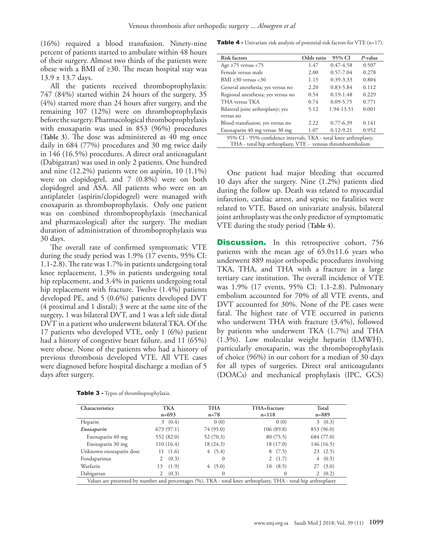(16%) required a blood transfusion. Ninety-nine percent of patients started to ambulate within 48 hours of their surgery. Almost two thirds of the patients were obese with a BMI of ≥30. The mean hospital stay was 13.9 ± 13.7 days.

All the patients received thromboprophylaxis: 747 (84%) started within 24 hours of the surgery, 35 (4%) started more than 24 hours after surgery, and the remaining 107 (12%) were on thromboprophylaxis before the surgery. Pharmacological thromboprophylaxis with enoxaparin was used in 853 (96%) procedures (**Table 3**). The dose was administered as 40 mg once daily in 684 (77%) procedures and 30 mg twice daily in 146 (16.5%) procedures. A direct oral anticoagulant (Dabigatran) was used in only 2 patients. One hundred and nine (12.2%) patients were on aspirin, 10 (1.1%) were on clopidogrel, and 7 (0.8%) were on both clopidogrel and ASA. All patients who were on an antiplatelet (aspirin/clopidogrel) were managed with enoxaparin as thromboprophylaxis. Only one patient was on combined thromboprophylaxis (mechanical and pharmacological) after the surgery. The median duration of administration of thromboprophylaxis was 30 days.

The overall rate of confirmed symptomatic VTE during the study period was 1.9% (17 events, 95% CI: 1.1-2.8). The rate was 1.7% in patients undergoing total knee replacement, 1.3% in patients undergoing total hip replacement, and 3.4% in patients undergoing total hip replacement with fracture. Twelve (1.4%) patients developed PE, and 5 (0.6%) patients developed DVT (4 proximal and 1 distal); 3 were at the same site of the surgery, 1 was bilateral DVT, and 1 was a left side distal DVT in a patient who underwent bilateral TKA. Of the 17 patients who developed VTE, only 1 (6%) patient had a history of congestive heart failure, and 11 (65%) were obese. None of the patients who had a history of previous thrombosis developed VTE. All VTE cases were diagnosed before hospital discharge a median of 5 days after surgery.

**Table 4** - Univariate risk analysis of potential risk factors for VTE  $(n=17)$ .

| Risk factors                                                      | Odds ratio | 95% CI        | P-value |  |
|-------------------------------------------------------------------|------------|---------------|---------|--|
| Age $\geq$ 75 versus <75                                          | 1.47       | $0.47 - 4.58$ | 0.507   |  |
| Female versus male                                                | 2.00       | $0.57 - 7.04$ | 0.278   |  |
| $BMI > 30$ versus $< 30$                                          | 1.15       | 0.39-3.33     | 0.804   |  |
| General anesthesia; yes versus no                                 | 2.20       | $0.83 - 5.84$ | 0.112   |  |
| Regional anesthesia; yes versus no                                | 0.54       | $0.19 - 1.48$ | 0.229   |  |
| THA versus TKA                                                    | 0.74       | $0.09 - 5.75$ | 0.771   |  |
| Bilateral joint arthroplasty; yes                                 | 5.12       | 1.94-13.51    | 0.001   |  |
| versus no                                                         |            |               |         |  |
| Blood transfusion; yes versus no                                  | 2.22       | $0.77 - 6.39$ | 0.141   |  |
| Enoxaparin 40 mg versus 30 mg                                     | 1.07       | $0.12 - 9.21$ | 0.952   |  |
| 95% CI - 95% confidence intervals, TKA - total knee arthroplasty, |            |               |         |  |
| THA - total hip arthroplasty, VTE - venous thromboembolism        |            |               |         |  |

One patient had major bleeding that occurred 10 days after the surgery. Nine (1.2%) patients died during the follow up. Death was related to myocardial infarction, cardiac arrest, and sepsis; no fatalities were related to VTE. Based on univariate analysis, bilateral joint arthroplasty was the only predictor of symptomatic VTE during the study period (**Table 4**).

**Discussion.** In this retrospective cohort, 756 patients with the mean age of  $65.0\pm11.6$  years who underwent 889 major orthopedic procedures involving TKA, THA, and THA with a fracture in a large tertiary care institution. The overall incidence of VTE was 1.9% (17 events, 95% CI: 1.1-2.8). Pulmonary embolism accounted for 70% of all VTE events, and DVT accounted for 30%. None of the PE cases were fatal. The highest rate of VTE occurred in patients who underwent THA with fracture (3.4%), followed by patients who underwent TKA (1.7%) and THA (1.3%). Low molecular weight heparin (LMWH), particularly enoxaparin, was the thromboprophylaxis of choice (96%) in our cohort for a median of 30 days for all types of surgeries. Direct oral anticoagulants (DOACs) and mechanical prophylaxis (IPC, GCS)

| Characteristics                                                                                                 | <b>TKA</b><br>$n=693$ | <b>THA</b><br>$n = 78$ | THA+fracture<br>$n = 118$ | Total<br>$n = 889$ |
|-----------------------------------------------------------------------------------------------------------------|-----------------------|------------------------|---------------------------|--------------------|
| Heparin                                                                                                         | 3(0.4)                | 0(0)                   | 0(0)                      | 3(0.3)             |
| Enoxaparin                                                                                                      | 673(97.1)             | 74 (95.0)              | 106 (89.8)                | 853 (96.0)         |
| Enoxaparin 40 mg                                                                                                | 552 (82.0)            | 52(70.3)               | 80 (75.5)                 | 684 (77.0)         |
| Enoxaparin 30 mg                                                                                                | 110(16.4)             | 18(24.3)               | 18 (17.0)                 | 146(16.5)          |
| Unknown enoxaparin dose                                                                                         | (1.6)<br>11           | 4(5.4)                 | 8(7.5)                    | (2.5)<br>23        |
| Fondaparinux                                                                                                    | (0.3)                 | 0                      | 2(1.7)                    | (0.5)<br>4         |
| Warfarin                                                                                                        | (1.9)<br>13           | 4(5.0)                 | (8.5)<br>10               | (3.0)<br>27        |
| Dabigatran                                                                                                      | (0.3)<br>2            | 0                      | $\Omega$                  | (0.2)              |
| Values are presented by number and percentages (%), TKA - total knee arthroplasty, THA - total hip arthroplasty |                       |                        |                           |                    |

Table 3 - Types of thromboprophylaxis.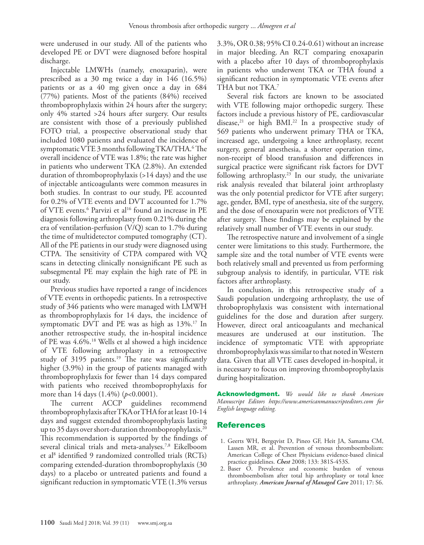were underused in our study. All of the patients who developed PE or DVT were diagnosed before hospital discharge.

Injectable LMWHs (namely, enoxaparin), were prescribed as a 30 mg twice a day in 146 (16.5%) patients or as a 40 mg given once a day in 684 (77%) patients. Most of the patients (84%) received thromboprophylaxis within 24 hours after the surgery; only 4% started >24 hours after surgery. Our results are consistent with those of a previously published FOTO trial, a prospective observational study that included 1080 patients and evaluated the incidence of symptomatic VTE 3 months following TKA/THA.<sup>6</sup> The overall incidence of VTE was 1.8%; the rate was higher in patients who underwent TKA (2.8%). An extended duration of thromboprophylaxis (>14 days) and the use of injectable anticoagulants were common measures in both studies. In contrast to our study, PE accounted for 0.2% of VTE events and DVT accounted for 1.7% of VTE events.<sup>6</sup> Parvizi et al<sup>16</sup> found an increase in PE diagnosis following arthroplasty from 0.21% during the era of ventilation-perfusion (V/Q) scan to 1.7% during the time of multidetector computed tomography (CT). All of the PE patients in our study were diagnosed using CTPA. The sensitivity of CTPA compared with VQ scans in detecting clinically nonsignificant PE such as subsegmental PE may explain the high rate of PE in our study.

Previous studies have reported a range of incidences of VTE events in orthopedic patients. In a retrospective study of 346 patients who were managed with LMWH as thromboprophylaxis for 14 days, the incidence of symptomatic DVT and PE was as high as 13%.<sup>17</sup> In another retrospective study, the in-hospital incidence of PE was 4.6%.18 Wells et al showed a high incidence of VTE following arthroplasty in a retrospective study of  $3195$  patients.<sup>19</sup> The rate was significantly higher (3.9%) in the group of patients managed with thromboprophylaxis for fewer than 14 days compared with patients who received thromboprophylaxis for more than 14 days (1.4%) (*p*<0.0001).

The current ACCP guidelines recommend thromboprophylaxis after TKA or THA for at least 10-14 days and suggest extended thromboprophylaxis lasting up to 35 days over short-duration thromboprophylaxis.20 This recommendation is supported by the findings of several clinical trials and meta-analyses.<sup>7,8</sup> Eikelboom et al<sup>8</sup> identified 9 randomized controlled trials (RCTs) comparing extended-duration thromboprophylaxis (30 days) to a placebo or untreated patients and found a significant reduction in symptomatic VTE (1.3% versus

3.3%, OR 0.38; 95% CI 0.24-0.61) without an increase in major bleeding. An RCT comparing enoxaparin with a placebo after 10 days of thromboprophylaxis in patients who underwent TKA or THA found a significant reduction in symptomatic VTE events after THA but not TKA.7

Several risk factors are known to be associated with VTE following major orthopedic surgery. These factors include a previous history of PE, cardiovascular disease, $21$  or high BMI.<sup>22</sup> In a prospective study of 569 patients who underwent primary THA or TKA, increased age, undergoing a knee arthroplasty, recent surgery, general anesthesia, a shorter operation time, non-receipt of blood transfusion and differences in surgical practice were significant risk factors for DVT following arthroplasty.<sup>23</sup> In our study, the univariate risk analysis revealed that bilateral joint arthroplasty was the only potential predictor for VTE after surgery; age, gender, BMI, type of anesthesia, site of the surgery, and the dose of enoxaparin were not predictors of VTE after surgery. These findings may be explained by the relatively small number of VTE events in our study.

The retrospective nature and involvement of a single center were limitations to this study. Furthermore, the sample size and the total number of VTE events were both relatively small and prevented us from performing subgroup analysis to identify, in particular, VTE risk factors after arthroplasty.

In conclusion, in this retrospective study of a Saudi population undergoing arthroplasty, the use of throboprophylaxis was consistent with international guidelines for the dose and duration after surgery. However, direct oral anticoagulants and mechanical measures are underused at our institution. The incidence of symptomatic VTE with appropriate thromboprophylaxis was similar to that noted in Western data. Given that all VTE cases developed in-hospital, it is necessary to focus on improving thromboprophylaxis during hospitalization.

Acknowledgment. *We would like to thank American Manuscript Editors https://www.americanmanuscripteditors.com for English language editing.*

## References

- 1. [Geerts WH, Bergqvist D, Pineo GF, Heit JA, Samama CM,](https://www.ncbi.nlm.nih.gov/pubmed/18574271)  [Lassen MR, et al. Prevention of venous thromboembolism:](https://www.ncbi.nlm.nih.gov/pubmed/18574271)  [American College of Chest Physicians evidence-based clinical](https://www.ncbi.nlm.nih.gov/pubmed/18574271)  practice guidelines. *Chest* [2008; 133: 381S-453S.](https://www.ncbi.nlm.nih.gov/pubmed/18574271)
- 2. [Baser O. Prevalence and economic burden of venous](https://www.ncbi.nlm.nih.gov/pubmed/21517654)  [thromboembolism after total hip arthroplasty or total knee](https://www.ncbi.nlm.nih.gov/pubmed/21517654)  arthroplasty. *[American Journal of Managed Care](https://www.ncbi.nlm.nih.gov/pubmed/21517654)* 2011; 17: S6.